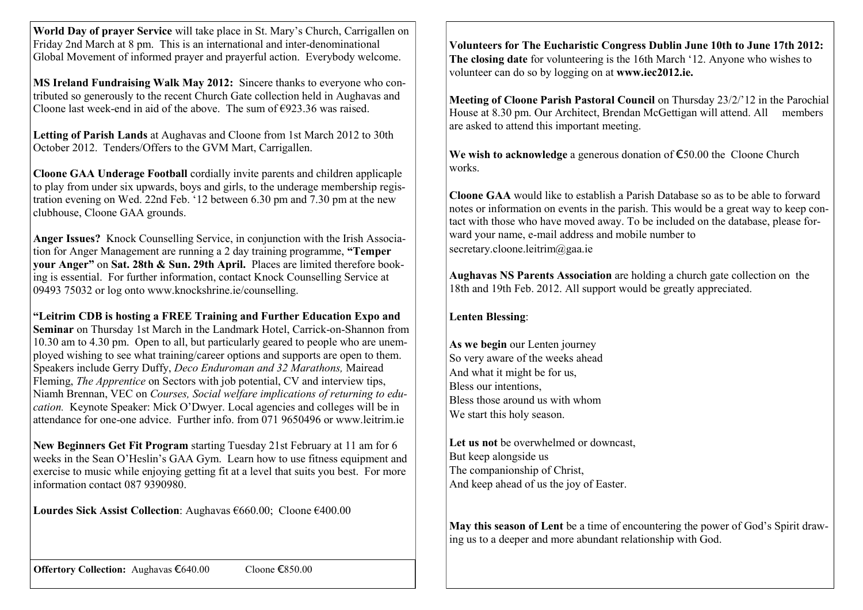**World Day of prayer Service** will take place in St. Mary's Church, Carrigallen on Friday 2nd March at 8 pm. This is an international and inter-denominational Global Movement of informed prayer and prayerful action. Everybody welcome.

**MS Ireland Fundraising Walk May 2012:** Sincere thanks to everyone who contributed so generously to the recent Church Gate collection held in Aughavas and Cloone last week-end in aid of the above. The sum of  $\epsilon$ 923.36 was raised.

**Letting of Parish Lands** at Aughavas and Cloone from 1st March 2012 to 30th October 2012. Tenders/Offers to the GVM Mart, Carrigallen.

**Cloone GAA Underage Football** cordially invite parents and children applicaple to play from under six upwards, boys and girls, to the underage membership registration evening on Wed. 22nd Feb. '12 between 6.30 pm and 7.30 pm at the new clubhouse, Cloone GAA grounds.

**Anger Issues?** Knock Counselling Service, in conjunction with the Irish Association for Anger Management are running a 2 day training programme, **"Temper your Anger"** on **Sat. 28th & Sun. 29th April.** Places are limited therefore booking is essential. For further information, contact Knock Counselling Service at 09493 75032 or log onto www.knockshrine.ie/counselling.

**"Leitrim CDB is hosting a FREE Training and Further Education Expo and Seminar** on Thursday 1st March in the Landmark Hotel, Carrick-on-Shannon from 10.30 am to 4.30 pm. Open to all, but particularly geared to people who are unemployed wishing to see what training/career options and supports are open to them. Speakers include Gerry Duffy, *Deco Enduroman and 32 Marathons,* Mairead Fleming, *The Apprentice* on Sectors with job potential, CV and interview tips, Niamh Brennan, VEC on *Courses, Social welfare implications of returning to education.* Keynote Speaker: Mick O'Dwyer. Local agencies and colleges will be in attendance for one-one advice. Further info. from 071 9650496 or www.leitrim.ie

**New Beginners Get Fit Program** starting Tuesday 21st February at 11 am for 6 weeks in the Sean O'Heslin's GAA Gym. Learn how to use fitness equipment and exercise to music while enjoying getting fit at a level that suits you best. For more information contact 087 9390980.

**Lourdes Sick Assist Collection**: Aughavas €660.00; Cloone €400.00

**Volunteers for The Eucharistic Congress Dublin June 10th to June 17th 2012: The closing date** for volunteering is the 16th March '12. Anyone who wishes to volunteer can do so by logging on at **www.iec2012.ie.**

**Meeting of Cloone Parish Pastoral Council** on Thursday 23/2/'12 in the Parochial House at 8.30 pm. Our Architect, Brendan McGettigan will attend. All members are asked to attend this important meeting.

**We wish to acknowledge** a generous donation of €50.00 the Cloone Church works.

**Cloone GAA** would like to establish a Parish Database so as to be able to forward notes or information on events in the parish. This would be a great way to keep contact with those who have moved away. To be included on the database, please forward your name, e-mail address and mobile number to secretary.cloone.leitrim@gaa.ie

**Aughavas NS Parents Association** are holding a church gate collection on the 18th and 19th Feb. 2012. All support would be greatly appreciated.

## **Lenten Blessing**:

**As we begin** our Lenten journey So very aware of the weeks ahead And what it might be for us, Bless our intentions, Bless those around us with whom We start this holy season.

**Let us not** be overwhelmed or downcast, But keep alongside us The companionship of Christ, And keep ahead of us the joy of Easter.

**May this season of Lent** be a time of encountering the power of God's Spirit drawing us to a deeper and more abundant relationship with God.